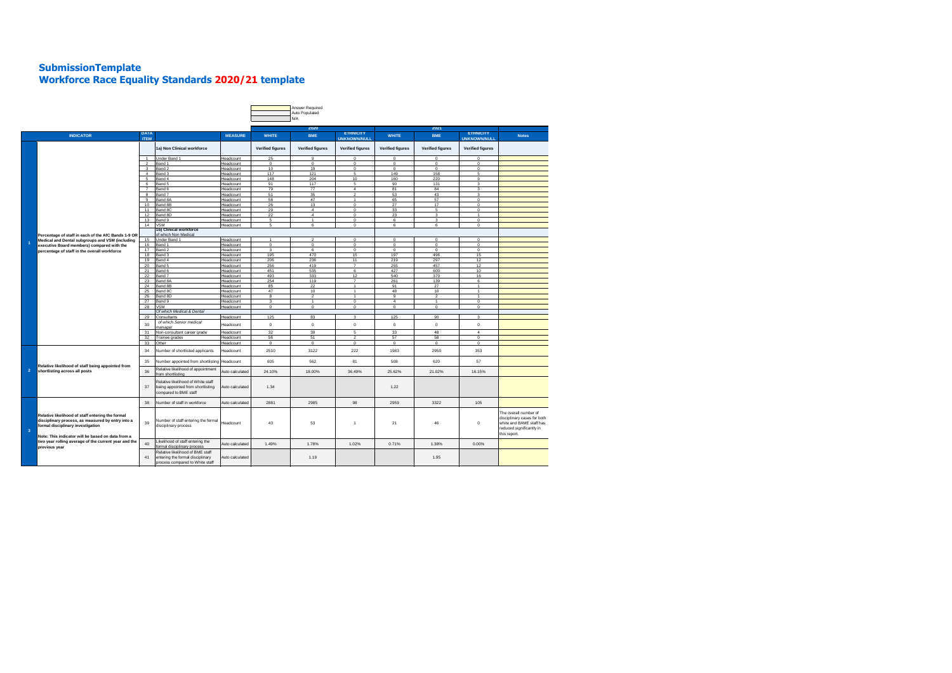## **SubmissionTemplate Workforce Race Equality Standards 2020/21 template**

|                         |                                                                                                                                                                                                                                                                          |                            |                                                                                                         |                        |                              | Answer Required<br>Auto Populated<br>N/A |                                         |                         |                                  |                                         |                                                                                                                              |
|-------------------------|--------------------------------------------------------------------------------------------------------------------------------------------------------------------------------------------------------------------------------------------------------------------------|----------------------------|---------------------------------------------------------------------------------------------------------|------------------------|------------------------------|------------------------------------------|-----------------------------------------|-------------------------|----------------------------------|-----------------------------------------|------------------------------------------------------------------------------------------------------------------------------|
|                         |                                                                                                                                                                                                                                                                          |                            |                                                                                                         | 2020                   |                              |                                          | 2021                                    |                         |                                  |                                         |                                                                                                                              |
|                         | <b>INDICATOR</b>                                                                                                                                                                                                                                                         | <b>DATA</b><br><b>ITEM</b> |                                                                                                         | <b>MEASURE</b>         | <b>WHITE</b>                 | <b>BME</b>                               | <b>ETHNICITY</b><br><b>UNKNOWN/NULL</b> | <b>WHITE</b>            | <b>BME</b>                       | <b>ETHNICITY</b><br><b>UNKNOWN/NULL</b> | <b>Notes</b>                                                                                                                 |
|                         | Percentage of staff in each of the AfC Bands 1-9 OR                                                                                                                                                                                                                      |                            | 1a) Non Clinical workforce                                                                              |                        | <b>Verified figures</b>      | <b>Verified figures</b>                  | <b>Verified figures</b>                 | <b>Verified figures</b> | <b>Verified figures</b>          | <b>Verified figures</b>                 |                                                                                                                              |
|                         |                                                                                                                                                                                                                                                                          | $\overline{1}$             | Under Band 1                                                                                            | Headcount              | 25                           | 9                                        | $\circ$                                 | $\mathbf 0$             | $\mathbf 0$                      | $\mathbf 0$                             |                                                                                                                              |
|                         |                                                                                                                                                                                                                                                                          | $\overline{2}$             | Band 1                                                                                                  | Headcount              | $\mathbf 0$                  | $\mathbf 0$                              | $\mathbf{0}$                            | $\Omega$                | $\mathbf 0$                      | $\Omega$                                |                                                                                                                              |
|                         |                                                                                                                                                                                                                                                                          | 3<br>$\overline{4}$        | Band 2<br>Band 3                                                                                        | Headcount<br>Headcount | 10<br>117                    | 19<br>121                                | $\mathbf 0$<br>5                        | $\mathbf 0$<br>149      | $\mathbf 0$<br>158               | $\mathbf 0$<br>5                        |                                                                                                                              |
|                         |                                                                                                                                                                                                                                                                          | 5                          | Band 4                                                                                                  | Headcount              | 148                          | 204                                      | 10                                      | 160                     | 220                              | 9                                       |                                                                                                                              |
|                         |                                                                                                                                                                                                                                                                          | 6                          | Band 5                                                                                                  | Headcount              | 91                           | 117                                      | 5                                       | 90                      | 131                              | 3                                       |                                                                                                                              |
|                         |                                                                                                                                                                                                                                                                          | $\overline{7}$             | Band 6                                                                                                  | Headcount              | 79                           | 77                                       | $\overline{4}$                          | 81                      | 84                               | 3                                       |                                                                                                                              |
|                         |                                                                                                                                                                                                                                                                          | 8                          | Band 7                                                                                                  | <b>Headcount</b>       | 51                           | 35                                       | $\overline{2}$                          | 53                      | 43                               | $\overline{3}$                          |                                                                                                                              |
|                         |                                                                                                                                                                                                                                                                          | 9<br>10                    | Band 8A<br>Band 8B                                                                                      | Headcount<br>Headcount | 58<br>26                     | 47<br>13                                 | $\sim$<br>$\mathbf{0}$                  | 65<br>27                | 57<br>17                         | $\mathbf 0$<br>$\mathbf 0$              |                                                                                                                              |
|                         |                                                                                                                                                                                                                                                                          | 11                         | Band 8C                                                                                                 | Headcount              | 29                           | $\overline{a}$                           | $\Omega$                                | 33                      | 5.                               | $\Omega$                                |                                                                                                                              |
|                         |                                                                                                                                                                                                                                                                          | 12                         | Band 8D                                                                                                 | Headcount              | 22                           | $\overline{4}$                           | $\mathbf{0}$                            | 23                      | 3                                | $\mathbf{1}$                            |                                                                                                                              |
|                         |                                                                                                                                                                                                                                                                          | 13                         | Band 9                                                                                                  | Headcount              | 5                            | $\mathbf{1}$                             | $\circ$                                 | 6                       | 3                                | $\mathbf 0$                             |                                                                                                                              |
|                         |                                                                                                                                                                                                                                                                          | 14                         | <b>VSM</b>                                                                                              | Headcount              | 5                            | 6                                        | $\mathbf{0}$                            | 6                       | 6                                | $\mathbf 0$                             |                                                                                                                              |
|                         |                                                                                                                                                                                                                                                                          |                            | 1b) Clinical workforce<br>of which Non Medical                                                          |                        |                              |                                          |                                         |                         |                                  |                                         |                                                                                                                              |
|                         | Medical and Dental subgroups and VSM (including                                                                                                                                                                                                                          | 15                         | Under Band 1                                                                                            | Headcount              | $\overline{1}$               | $\overline{2}$                           | $\circ$                                 | $\Omega$                | $\Omega$                         | $\Omega$                                |                                                                                                                              |
| $\blacksquare$          | executive Board members) compared with the                                                                                                                                                                                                                               | 16                         | Band 1                                                                                                  | Headcount              | $\mathbf{0}$                 | $\circ$                                  | $\mathbf{0}$                            | $^{\circ}$              | $\mathbf 0$                      | $\mathbf 0$                             |                                                                                                                              |
|                         | percentage of staff in the overall workforce                                                                                                                                                                                                                             | 17                         | Band 2                                                                                                  | Headcount              | $\mathbf{a}$                 | 6                                        | $\Omega$                                | $\Omega$                | $\Omega$                         | $\Omega$                                |                                                                                                                              |
|                         |                                                                                                                                                                                                                                                                          | 18                         | Band 3                                                                                                  | Headcount              | 195                          | 470                                      | 15                                      | 197                     | 496                              | 15                                      |                                                                                                                              |
|                         |                                                                                                                                                                                                                                                                          | 19                         | Band 4                                                                                                  | Headcount              | 206                          | 236                                      | 11                                      | 219                     | 297                              | 12                                      |                                                                                                                              |
|                         |                                                                                                                                                                                                                                                                          | 20<br>21                   | Band 5<br>Band 6                                                                                        | Headcount<br>Headcount | 256<br>451                   | 419<br>535                               | $\overline{7}$<br>6                     | 255<br>427              | 457<br>600                       | 12<br>10                                |                                                                                                                              |
|                         |                                                                                                                                                                                                                                                                          | 22                         | Band 7                                                                                                  | Headcount              | 493                          | 333                                      | 12                                      | 540                     | 370                              | 16                                      |                                                                                                                              |
|                         |                                                                                                                                                                                                                                                                          | 23                         | Band 8A                                                                                                 | Headcount              | 254                          | 119                                      | $\overline{7}$                          | 261                     | 139                              | 6                                       |                                                                                                                              |
|                         |                                                                                                                                                                                                                                                                          | 24                         | Band 8B                                                                                                 | Headcount              | 85                           | 22                                       | $\overline{1}$                          | 91                      | 27                               | $\overline{1}$                          |                                                                                                                              |
|                         |                                                                                                                                                                                                                                                                          | 25                         | Band 8C                                                                                                 | Headcount              | 47                           | 10                                       | $\mathbf{1}$                            | 48                      | 10                               | $\mathbf{1}$                            |                                                                                                                              |
|                         |                                                                                                                                                                                                                                                                          | 26<br>27                   | Band 8D                                                                                                 | Headcount              | 8<br>$\overline{\mathbf{3}}$ | $\overline{2}$<br>$\mathbf{1}$           | $\ddot{\phantom{1}}$<br>$\mathbf{0}$    | 9<br>$\overline{a}$     | $\overline{2}$<br>$\overline{1}$ | $\ddot{\phantom{1}}$<br>$\mathbf 0$     |                                                                                                                              |
|                         |                                                                                                                                                                                                                                                                          | 28                         | Band 9<br><b>VSM</b>                                                                                    | Headcount<br>Headcount | $^{\circ}$                   | $\mathbf 0$                              | $\circ$                                 | $\mathbf 0$             | $\mathbf 0$                      | $\mathbf 0$                             |                                                                                                                              |
|                         |                                                                                                                                                                                                                                                                          |                            | Of which Medical & Dental                                                                               |                        |                              |                                          |                                         |                         |                                  |                                         |                                                                                                                              |
|                         |                                                                                                                                                                                                                                                                          | 29                         | Consultants                                                                                             | Headcount              | 125                          | 83                                       | $\mathbf{3}$                            | 125                     | 90                               | $\overline{3}$                          |                                                                                                                              |
|                         |                                                                                                                                                                                                                                                                          | 30                         | of which Senior medical<br>manager                                                                      | Headcount              | $\mathbf 0$                  | $\circ$                                  | $\mathbf{0}$                            | $\mathbf{0}$            | $\mathbf 0$                      | $\mathbf 0$                             |                                                                                                                              |
|                         |                                                                                                                                                                                                                                                                          | 31                         | Non-consultant career grade                                                                             | Headcount              | 32                           | 39                                       | 5                                       | 33                      | 48                               | $\overline{4}$                          |                                                                                                                              |
|                         |                                                                                                                                                                                                                                                                          | 32<br>33                   | Trainee grades                                                                                          | Headcount              | 56                           | 51<br>$\mathsf 0$                        | $\mathcal{L}$<br>$\mathbf 0$            | 57<br>$^{\circ}$        | 58<br>$\mathbf{0}$               | $\Omega$<br>$\mathbf{0}$                |                                                                                                                              |
| $\overline{2}$          | Relative likelihood of staff being appointed from<br>shortlisting across all posts                                                                                                                                                                                       | 34                         | Other<br>Number of shortlisted applicants                                                               | Headcount<br>Headcount | 0<br>2510                    | 3122                                     | 222                                     | 1983                    | 2950                             | 353                                     |                                                                                                                              |
|                         |                                                                                                                                                                                                                                                                          | 35                         | Number appointed from shortlisting Headcount                                                            |                        | 605                          | 562                                      | 81                                      | 508                     | 620                              | 57                                      |                                                                                                                              |
|                         |                                                                                                                                                                                                                                                                          | 36                         | Relative likelihood of appointment<br>from shortlisting                                                 | Auto calculated        | 24.10%                       | 18.00%                                   | 36.49%                                  | 25.62%                  | 21.02%                           | 16.15%                                  |                                                                                                                              |
|                         |                                                                                                                                                                                                                                                                          | 37                         | Relative likelihood of White staff<br>being appointed from shortlisting<br>compared to BME staff        | Auto calculated        | 1.34                         |                                          |                                         | 1.22                    |                                  |                                         |                                                                                                                              |
|                         | Relative likelihood of staff entering the formal<br>disciplinary process, as measured by entry into a<br>formal disciplinary investigation<br>Note: This indicator will be based on data from a<br>two year rolling average of the current year and the<br>previous year | 38                         | Number of staff in workforce                                                                            | Auto calculated        | 2881                         | 2985                                     | 98                                      | 2959                    | 3322                             | 105                                     |                                                                                                                              |
|                         |                                                                                                                                                                                                                                                                          |                            |                                                                                                         |                        |                              |                                          |                                         |                         |                                  |                                         |                                                                                                                              |
| $\overline{\mathbf{3}}$ |                                                                                                                                                                                                                                                                          | 39                         | Number of staff entering the formal<br>disciplinary process                                             | Headcount              | 43                           | 53                                       | $\mathbf{1}$                            | 21                      | 46                               | $\mathbf 0$                             | The overall number of<br>disciplinary cases for both<br>white and BAME staff has<br>reduced significantly in<br>this report. |
|                         |                                                                                                                                                                                                                                                                          | 40                         | Likelihood of staff entering the<br>formal disciplinary process                                         | Auto calculated        | 1.49%                        | 1.78%                                    | 1.02%                                   | 0.71%                   | 1.38%                            | 0.00%                                   |                                                                                                                              |
|                         |                                                                                                                                                                                                                                                                          | 41                         | Relative likelihood of BME staff<br>entering the formal disciplinary<br>process compared to White staff | Auto calculated        |                              | 1.19                                     |                                         |                         | 1.95                             |                                         |                                                                                                                              |